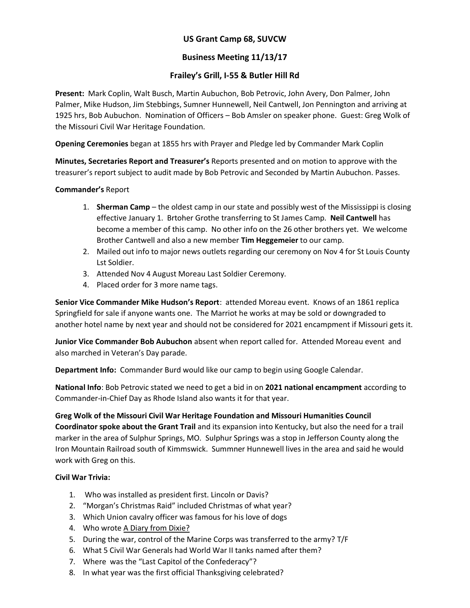## **US Grant Camp 68, SUVCW**

## **Business Meeting 11/13/17**

### **Frailey's Grill, I-55 & Butler Hill Rd**

**Present:** Mark Coplin, Walt Busch, Martin Aubuchon, Bob Petrovic, John Avery, Don Palmer, John Palmer, Mike Hudson, Jim Stebbings, Sumner Hunnewell, Neil Cantwell, Jon Pennington and arriving at 1925 hrs, Bob Aubuchon. Nomination of Officers – Bob Amsler on speaker phone. Guest: Greg Wolk of the Missouri Civil War Heritage Foundation.

**Opening Ceremonies** began at 1855 hrs with Prayer and Pledge led by Commander Mark Coplin

**Minutes, Secretaries Report and Treasurer's** Reports presented and on motion to approve with the treasurer's report subject to audit made by Bob Petrovic and Seconded by Martin Aubuchon. Passes.

#### **Commander's** Report

- 1. **Sherman Camp** the oldest camp in our state and possibly west of the Mississippi is closing effective January 1. Brtoher Grothe transferring to St James Camp. **Neil Cantwell** has become a member of this camp. No other info on the 26 other brothers yet. We welcome Brother Cantwell and also a new member **Tim Heggemeier** to our camp.
- 2. Mailed out info to major news outlets regarding our ceremony on Nov 4 for St Louis County Lst Soldier.
- 3. Attended Nov 4 August Moreau Last Soldier Ceremony.
- 4. Placed order for 3 more name tags.

**Senior Vice Commander Mike Hudson's Report**: attended Moreau event. Knows of an 1861 replica Springfield for sale if anyone wants one. The Marriot he works at may be sold or downgraded to another hotel name by next year and should not be considered for 2021 encampment if Missouri gets it.

**Junior Vice Commander Bob Aubuchon** absent when report called for. Attended Moreau event and also marched in Veteran's Day parade.

**Department Info:** Commander Burd would like our camp to begin using Google Calendar.

**National Info**: Bob Petrovic stated we need to get a bid in on **2021 national encampment** according to Commander-in-Chief Day as Rhode Island also wants it for that year.

# **Greg Wolk of the Missouri Civil War Heritage Foundation and Missouri Humanities Council**

**Coordinator spoke about the Grant Trail** and its expansion into Kentucky, but also the need for a trail marker in the area of Sulphur Springs, MO. Sulphur Springs was a stop in Jefferson County along the Iron Mountain Railroad south of Kimmswick. Summner Hunnewell lives in the area and said he would work with Greg on this.

#### **Civil War Trivia:**

- 1. Who was installed as president first. Lincoln or Davis?
- 2. "Morgan's Christmas Raid" included Christmas of what year?
- 3. Which Union cavalry officer was famous for his love of dogs
- 4. Who wrote A Diary from Dixie?
- 5. During the war, control of the Marine Corps was transferred to the army? T/F
- 6. What 5 Civil War Generals had World War II tanks named after them?
- 7. Where was the "Last Capitol of the Confederacy"?
- 8. In what year was the first official Thanksgiving celebrated?